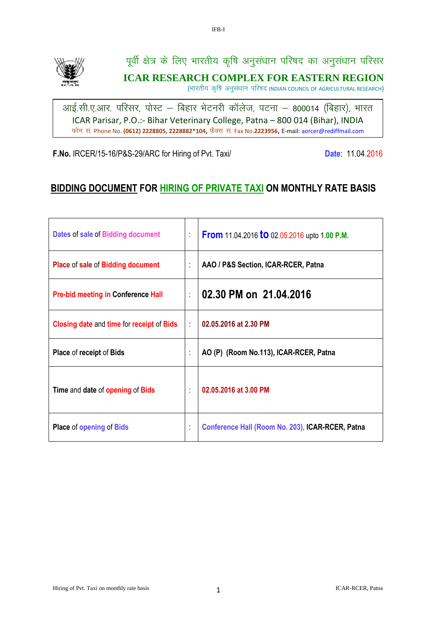

पूर्वी क्षेत्र के लिए भारतीय कृषि अनुसंधान परिषद का अनुसंधान परिसर **ICAR RESEARCH COMPLEX FOR EASTERN REGION**

(भारतीय कृषि अनुसंधान परिषद INDIAN COUNCIL OF AGRICULTURAL RESEARCH)

आई.सी.ए.आर. परिसर, पोस्ट – बिहार भेटनरी कॉलेज, पटना – 800014 (बिहार), भारत ICAR Parisar, P.O.:- Bihar Veterinary College, Patna – 800 014 (Bihar), INDIA फोन सं. Phone No. (0612) 2228805, 2228882\*104, फैक्स सं. Fax No.2223956, E-mail: aorcer@rediffmail.com

**F.No.** IRCER/15-16/P&S-29/ARC for Hiring of Pvt. Taxi/ **Date: 11.04.2016** Date: 11.04.2016

# **BIDDING DOCUMENT FOR HIRING OF PRIVATE TAXI ON MONTHLY RATE BASIS**

| Dates of sale of Bidding document                | t | <b>From</b> 11.04.2016 <b>to</b> 02.05.2016 upto 1.00 P.M. |
|--------------------------------------------------|---|------------------------------------------------------------|
| Place of sale of Bidding document                | t | AAO / P&S Section, ICAR-RCER, Patna                        |
| <b>Pre-bid meeting in Conference Hall</b>        | t | 02.30 PM on 21.04.2016                                     |
| <b>Closing date and time for receipt of Bids</b> | ÷ | 02.05.2016 at 2.30 PM                                      |
| <b>Place of receipt of Bids</b>                  | t | AO (P) (Room No.113), ICAR-RCER, Patna                     |
| Time and date of opening of Bids                 | ÷ | 02.05.2016 at 3.00 PM                                      |
| <b>Place of opening of Bids</b>                  | t | Conference Hall (Room No. 203), ICAR-RCER, Patna           |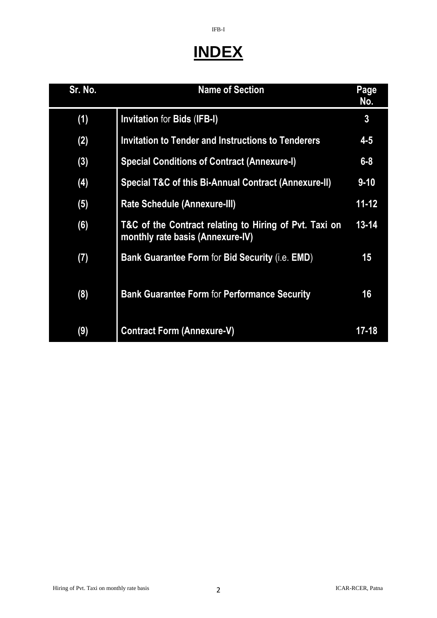# **INDEX**

IFB-I

| Sr. No. | <b>Name of Section</b>                                                                     | Page<br>No.    |
|---------|--------------------------------------------------------------------------------------------|----------------|
| (1)     | <b>Invitation for Bids (IFB-I)</b>                                                         | $\overline{3}$ |
| (2)     | <b>Invitation to Tender and Instructions to Tenderers</b>                                  | $4 - 5$        |
| (3)     | <b>Special Conditions of Contract (Annexure-I)</b>                                         | $6 - 8$        |
| (4)     | Special T&C of this Bi-Annual Contract (Annexure-II)                                       | $9 - 10$       |
| (5)     | <b>Rate Schedule (Annexure-III)</b>                                                        | $11 - 12$      |
| (6)     | T&C of the Contract relating to Hiring of Pvt. Taxi on<br>monthly rate basis (Annexure-IV) | $13 - 14$      |
| (7)     | Bank Guarantee Form for Bid Security (i.e. EMD)                                            | 15             |
| (8)     | <b>Bank Guarantee Form for Performance Security</b>                                        | 16             |
| (9)     | <b>Contract Form (Annexure-V)</b>                                                          | 17-18          |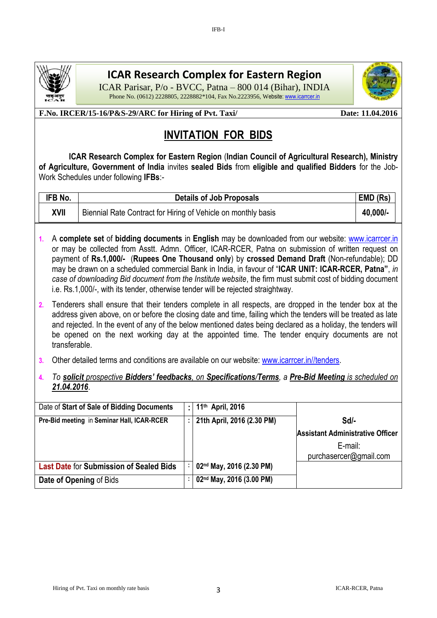

# **ICAR Research Complex for Eastern Region**

IFB-I

ICAR Parisar, P/o - BVCC, Patna – 800 014 (Bihar), INDIA Phone No. (0612) 2228805, 2228882\*104, Fax No.2223956, Website[: www.icarrcer.in](http://www.icarrcer.in/)



# **INVITATION FOR BIDS**

 **ICAR Research Complex for Eastern Region** (**Indian Council of Agricultural Research), Ministry of Agriculture, Government of India** invites **sealed Bids** from **eligible and qualified Bidders** for the Job-Work Schedules under following **IFBs**:*-*

| IFB No. | <b>Details of Job Proposals</b>                               | EMD (Rs) |
|---------|---------------------------------------------------------------|----------|
| XVII    | Biennial Rate Contract for Hiring of Vehicle on monthly basis | 40,000/- |

- **1.** A **complete set** of **bidding documents** in **English** may be downloaded from our website: [www.icarrcer.in](http://www.icarrcer.in/)  or may be collected from Asstt. Admn. Officer, ICAR-RCER, Patna on submission of written request on payment of **Rs.1,000/-** (**Rupees One Thousand only**) by **crossed Demand Draft** (Non-refundable); DD may be drawn on a scheduled commercial Bank in India, in favour of "**ICAR UNIT: ICAR-RCER, Patna"**, *in case of downloading Bid document from the Institute website*, the firm must submit cost of bidding document i.e. Rs.1,000/-, with its tender, otherwise tender will be rejected straightway.
- **2.** Tenderers shall ensure that their tenders complete in all respects, are dropped in the tender box at the address given above, on or before the closing date and time, failing which the tenders will be treated as late and rejected. In the event of any of the below mentioned dates being declared as a holiday, the tenders will be opened on the next working day at the appointed time. The tender enquiry documents are not transferable.
- **3.** Other detailed terms and conditions are available on our website: [www.icarrcer.in//tenders.](http://www.icarrcer.in/tenders)
- **4.** *To solicit prospective Bidders' feedbacks, on Specifications/Terms, a Pre-Bid Meeting is scheduled on 21.04.2016*.

| Date of Start of Sale of Bidding Documents     | ÷ | 11 <sup>th</sup> April, 2016 |                                         |
|------------------------------------------------|---|------------------------------|-----------------------------------------|
| Pre-Bid meeting in Seminar Hall, ICAR-RCER     |   | 21th April, 2016 (2.30 PM)   | $Sd$ -                                  |
|                                                |   |                              | <b>Assistant Administrative Officer</b> |
|                                                |   |                              | E-mail:<br>purchasercer@gmail.com       |
| <b>Last Date for Submission of Sealed Bids</b> |   | 02nd May, 2016 (2.30 PM)     |                                         |
| Date of Opening of Bids                        |   | 02nd May, 2016 (3.00 PM)     |                                         |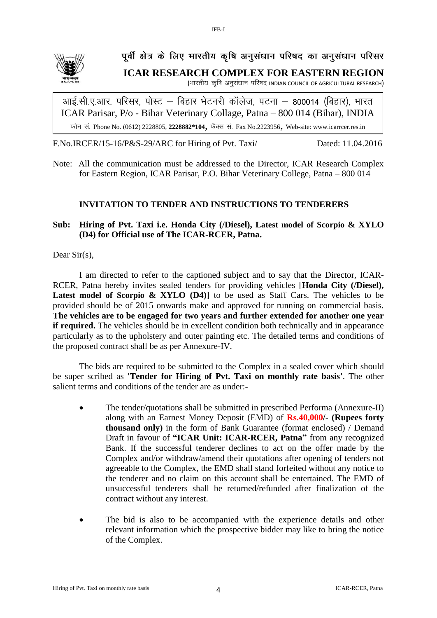

# **पूर्वी क्षेत्र के लिए भारतीय कृषि अनुसंधान परिषद का अनुसंधान परिसर ICAR RESEARCH COMPLEX FOR EASTERN REGION**

(भारतीय कृषि अनुसंधान परिषद INDIAN COUNCIL OF AGRICULTURAL RESEARCH)

आई.सी.ए.आर. परिसर, पोस्ट – बिहार भेटनरी कॉलेज, पटना – 800014 (बिहार), भारत, ICAR Parisar, P/o - Bihar Veterinary Collage, Patna – 800 014 (Bihar), INDIA फोन सं. Phone No. (0612) 2228805, 2228882\*104, फैक्स सं. Fax No.2223956, Web-site: www.icarrcer.res.in

F.No.IRCER/15-16/P&S-29/ARC for Hiring of Pvt. Taxi/ Dated: 11.04.2016

Note: All the communication must be addressed to the Director, ICAR Research Complex for Eastern Region, ICAR Parisar, P.O. Bihar Veterinary College, Patna – 800 014

# **INVITATION TO TENDER AND INSTRUCTIONS TO TENDERERS**

**Sub: Hiring of Pvt. Taxi i.e. Honda City (/Diesel), Latest model of Scorpio & XYLO (D4) for Official use of The ICAR-RCER, Patna.**

Dear Sir(s),

I am directed to refer to the captioned subject and to say that the Director, ICAR-RCER, Patna hereby invites sealed tenders for providing vehicles [**Honda City (/Diesel), Latest model of Scorpio & XYLO (D4)]** to be used as Staff Cars. The vehicles to be provided should be of 2015 onwards make and approved for running on commercial basis. **The vehicles are to be engaged for two years and further extended for another one year if required.** The vehicles should be in excellent condition both technically and in appearance particularly as to the upholstery and outer painting etc. The detailed terms and conditions of the proposed contract shall be as per Annexure-IV.

The bids are required to be submitted to the Complex in a sealed cover which should be super scribed as **'Tender for Hiring of Pvt. Taxi on monthly rate basis'**. The other salient terms and conditions of the tender are as under:-

- The tender/quotations shall be submitted in prescribed Performa (Annexure-II) along with an Earnest Money Deposit (EMD) of **Rs.40,000/- (Rupees forty thousand only)** in the form of Bank Guarantee (format enclosed) / Demand Draft in favour of **"ICAR Unit: ICAR-RCER, Patna"** from any recognized Bank. If the successful tenderer declines to act on the offer made by the Complex and/or withdraw/amend their quotations after opening of tenders not agreeable to the Complex, the EMD shall stand forfeited without any notice to the tenderer and no claim on this account shall be entertained. The EMD of unsuccessful tenderers shall be returned/refunded after finalization of the contract without any interest.
- The bid is also to be accompanied with the experience details and other relevant information which the prospective bidder may like to bring the notice of the Complex.

IFB-I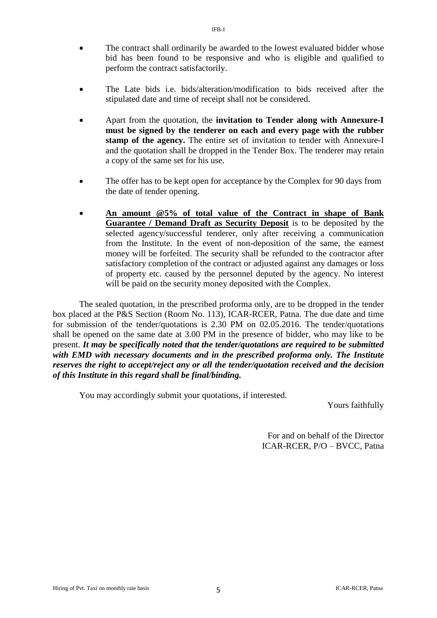- The contract shall ordinarily be awarded to the lowest evaluated bidder whose bid has been found to be responsive and who is eligible and qualified to perform the contract satisfactorily.
- The Late bids i.e. bids/alteration/modification to bids received after the stipulated date and time of receipt shall not be considered.
- Apart from the quotation, the **invitation to Tender along with Annexure-I must be signed by the tenderer on each and every page with the rubber stamp of the agency.** The entire set of invitation to tender with Annexure-I and the quotation shall be dropped in the Tender Box. The tenderer may retain a copy of the same set for his use.
- The offer has to be kept open for acceptance by the Complex for 90 days from the date of tender opening.
- **An amount @5% of total value of the Contract in shape of Bank Guarantee / Demand Draft as Security Deposit** is to be deposited by the selected agency/successful tenderer, only after receiving a communication from the Institute. In the event of non-deposition of the same, the earnest money will be forfeited. The security shall be refunded to the contractor after satisfactory completion of the contract or adjusted against any damages or loss of property etc. caused by the personnel deputed by the agency. No interest will be paid on the security money deposited with the Complex.

The sealed quotation, in the prescribed proforma only, are to be dropped in the tender box placed at the P&S Section (Room No. 113), ICAR-RCER, Patna. The due date and time for submission of the tender/quotations is 2.30 PM on 02.05.2016. The tender/quotations shall be opened on the same date at 3.00 PM in the presence of bidder, who may like to be present. *It may be specifically noted that the tender/quotations are required to be submitted with EMD with necessary documents and in the prescribed proforma only. The Institute reserves the right to accept/reject any or all the tender/quotation received and the decision of this Institute in this regard shall be final/binding.*

You may accordingly submit your quotations, if interested.

Yours faithfully

For and on behalf of the Director ICAR-RCER, P/O – BVCC, Patna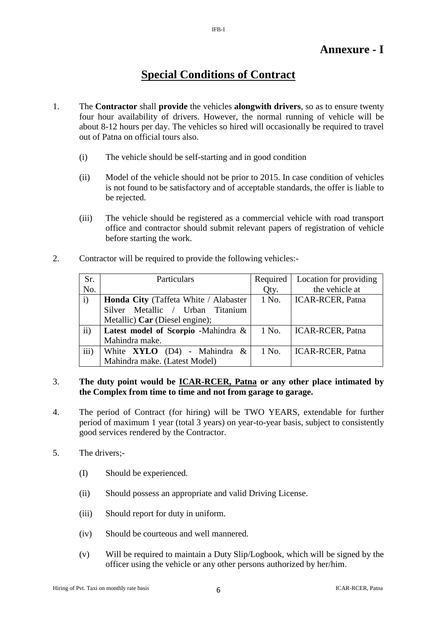# **Special Conditions of Contract**

- 1. The **Contractor** shall **provide** the vehicles **alongwith drivers**, so as to ensure twenty four hour availability of drivers. However, the normal running of vehicle will be about 8-12 hours per day. The vehicles so hired will occasionally be required to travel out of Patna on official tours also.
	- (i) The vehicle should be self-starting and in good condition
	- (ii) Model of the vehicle should not be prior to 2015. In case condition of vehicles is not found to be satisfactory and of acceptable standards, the offer is liable to be rejected.
	- (iii) The vehicle should be registered as a commercial vehicle with road transport office and contractor should submit relevant papers of registration of vehicle before starting the work.
- 2. Contractor will be required to provide the following vehicles:-

| Sr.           | Particulars                           | Required | Location for providing  |
|---------------|---------------------------------------|----------|-------------------------|
| No.           |                                       | Qty.     | the vehicle at          |
| i)            | Honda City (Taffeta White / Alabaster | 1 No.    | <b>ICAR-RCER, Patna</b> |
|               | Silver Metallic / Urban Titanium      |          |                         |
|               | Metallic) Car (Diesel engine);        |          |                         |
| $\mathbf{ii}$ | Latest model of Scorpio -Mahindra &   | 1 No.    | <b>ICAR-RCER, Patna</b> |
|               | Mahindra make.                        |          |                         |
| iii)          | White $XYLO$ (D4) - Mahindra &        | 1 No.    | <b>ICAR-RCER, Patna</b> |
|               | Mahindra make. (Latest Model)         |          |                         |

# 3. **The duty point would be ICAR-RCER, Patna or any other place intimated by the Complex from time to time and not from garage to garage.**

- 4. The period of Contract (for hiring) will be TWO YEARS, extendable for further period of maximum 1 year (total 3 years) on year-to-year basis, subject to consistently good services rendered by the Contractor.
- 5. The drivers;-
	- (I) Should be experienced.
	- (ii) Should possess an appropriate and valid Driving License.
	- (iii) Should report for duty in uniform.
	- (iv) Should be courteous and well mannered.
	- (v) Will be required to maintain a Duty Slip/Logbook, which will be signed by the officer using the vehicle or any other persons authorized by her/him.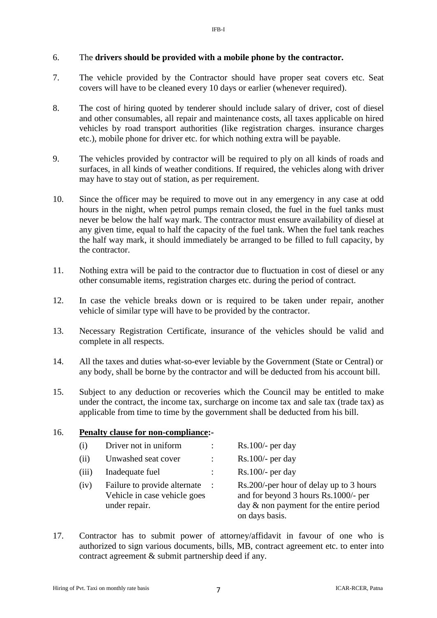# 6. The **drivers should be provided with a mobile phone by the contractor.**

- 7. The vehicle provided by the Contractor should have proper seat covers etc. Seat covers will have to be cleaned every 10 days or earlier (whenever required).
- 8. The cost of hiring quoted by tenderer should include salary of driver, cost of diesel and other consumables, all repair and maintenance costs, all taxes applicable on hired vehicles by road transport authorities (like registration charges. insurance charges etc.), mobile phone for driver etc. for which nothing extra will be payable.
- 9. The vehicles provided by contractor will be required to ply on all kinds of roads and surfaces, in all kinds of weather conditions. If required, the vehicles along with driver may have to stay out of station, as per requirement.
- 10. Since the officer may be required to move out in any emergency in any case at odd hours in the night, when petrol pumps remain closed, the fuel in the fuel tanks must never be below the half way mark. The contractor must ensure availability of diesel at any given time, equal to half the capacity of the fuel tank. When the fuel tank reaches the half way mark, it should immediately be arranged to be filled to full capacity, by the contractor.
- 11. Nothing extra will be paid to the contractor due to fluctuation in cost of diesel or any other consumable items, registration charges etc. during the period of contract.
- 12. In case the vehicle breaks down or is required to be taken under repair, another vehicle of similar type will have to be provided by the contractor.
- 13. Necessary Registration Certificate, insurance of the vehicles should be valid and complete in all respects.
- 14. All the taxes and duties what-so-ever leviable by the Government (State or Central) or any body, shall be borne by the contractor and will be deducted from his account bill.
- 15. Subject to any deduction or recoveries which the Council may be entitled to make under the contract, the income tax, surcharge on income tax and sale tax (trade tax) as applicable from time to time by the government shall be deducted from his bill.

| $\left( 1 \right)$ | Driver not in uniform                                                         |           | $Rs.100/-$ per day                                                                                                                              |
|--------------------|-------------------------------------------------------------------------------|-----------|-------------------------------------------------------------------------------------------------------------------------------------------------|
| (11)               | Unwashed seat cover                                                           |           | $Rs.100/-$ per day                                                                                                                              |
| (iii)              | Inadequate fuel                                                               |           | $Rs.100/-$ per day                                                                                                                              |
| (iv)               | Failure to provide alternate<br>Vehicle in case vehicle goes<br>under repair. | $\cdot$ : | Rs.200/-per hour of delay up to 3 hours<br>and for beyond 3 hours Rs.1000/- per<br>day $\&$ non payment for the entire period<br>on days basis. |

17. Contractor has to submit power of attorney/affidavit in favour of one who is authorized to sign various documents, bills, MB, contract agreement etc. to enter into contract agreement & submit partnership deed if any.

16. **Penalty clause for non-compliance:-**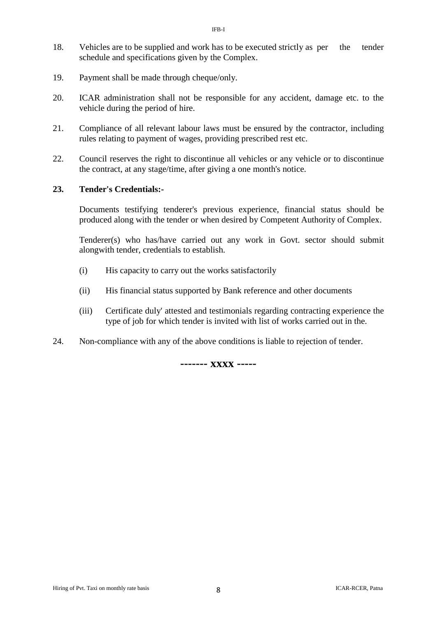- 18. Vehicles are to be supplied and work has to be executed strictly as per the tender schedule and specifications given by the Complex.
- 19. Payment shall be made through cheque/only.
- 20. ICAR administration shall not be responsible for any accident, damage etc. to the vehicle during the period of hire.
- 21. Compliance of all relevant labour laws must be ensured by the contractor, including rules relating to payment of wages, providing prescribed rest etc.
- 22. Council reserves the right to discontinue all vehicles or any vehicle or to discontinue the contract, at any stage/time, after giving a one month's notice.

# **23. Tender's Credentials:-**

Documents testifying tenderer's previous experience, financial status should be produced along with the tender or when desired by Competent Authority of Complex.

Tenderer(s) who has/have carried out any work in Govt. sector should submit alongwith tender, credentials to establish.

- (i) His capacity to carry out the works satisfactorily
- (ii) His financial status supported by Bank reference and other documents
- (iii) Certificate duly' attested and testimonials regarding contracting experience the type of job for which tender is invited with list of works carried out in the.
- 24. Non-compliance with any of the above conditions is liable to rejection of tender.

# **------- xxxx -----**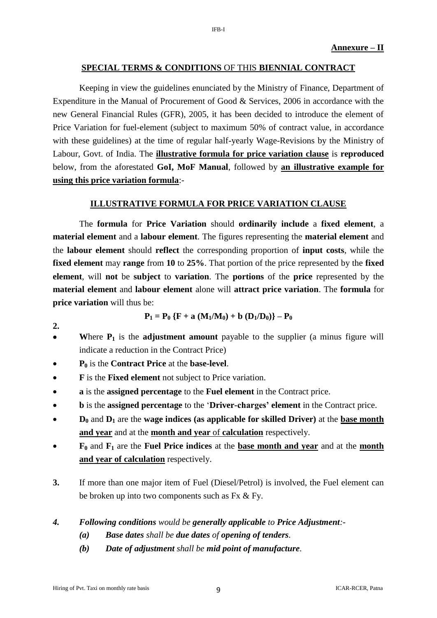### **SPECIAL TERMS & CONDITIONS** OF THIS **BIENNIAL CONTRACT**

Keeping in view the guidelines enunciated by the Ministry of Finance, Department of Expenditure in the Manual of Procurement of Good & Services, 2006 in accordance with the new General Financial Rules (GFR), 2005, it has been decided to introduce the element of Price Variation for fuel-element (subject to maximum 50% of contract value, in accordance with these guidelines) at the time of regular half-yearly Wage-Revisions by the Ministry of Labour, Govt. of India. The **illustrative formula for price variation clause** is **reproduced** below, from the aforestated **GoI, MoF Manual**, followed by **an illustrative example for using this price variation formula**:-

#### **ILLUSTRATIVE FORMULA FOR PRICE VARIATION CLAUSE**

The **formula** for **Price Variation** should **ordinarily include** a **fixed element**, a **material element** and a **labour element**. The figures representing the **material element** and the **labour element** should **reflect** the corresponding proportion of **input costs**, while the **fixed element** may **range** from **10** to **25%**. That portion of the price represented by the **fixed element**, will **not** be **subject** to **variation**. The **portions** of the **price** represented by the **material element** and **labour element** alone will **attract price variation**. The **formula** for **price variation** will thus be:

$$
P_1 = P_0 \{F + a (M_1/M_0) + b (D_1/D_0)\} - P_0
$$

**2.**

- Where  $P_1$  is the **adjustment amount** payable to the supplier (a minus figure will indicate a reduction in the Contract Price)
- **P<sup>0</sup>** is the **Contract Price** at the **base-level**.
- **F** is the **Fixed element** not subject to Price variation.
- **a** is the **assigned percentage** to the **Fuel element** in the Contract price.
- **b** is the **assigned percentage** to the '**Driver-charges' element** in the Contract price.
- **D<sup>0</sup>** and **D<sup>1</sup>** are the **wage indices (as applicable for skilled Driver)** at the **base month and year** and at the **month and year** of **calculation** respectively.
- **F<sup>0</sup>** and **F<sup>1</sup>** are the **Fuel Price indices** at the **base month and year** and at the **month and year of calculation** respectively.
- **3.** If more than one major item of Fuel (Diesel/Petrol) is involved, the Fuel element can be broken up into two components such as Fx & Fy.
- *4. Following conditions would be generally applicable to Price Adjustment:-*
	- *(a) Base dates shall be due dates of opening of tenders.*
	- *(b) Date of adjustment shall be mid point of manufacture.*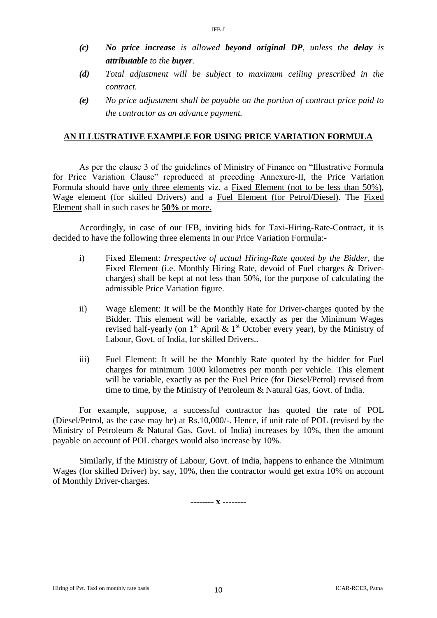- *(c) No price increase is allowed beyond original DP, unless the delay is attributable to the buyer.*
- *(d) Total adjustment will be subject to maximum ceiling prescribed in the contract.*
- *(e) No price adjustment shall be payable on the portion of contract price paid to the contractor as an advance payment.*

# **AN ILLUSTRATIVE EXAMPLE FOR USING PRICE VARIATION FORMULA**

As per the clause 3 of the guidelines of Ministry of Finance on "Illustrative Formula for Price Variation Clause" reproduced at preceding Annexure-II, the Price Variation Formula should have only three elements viz. a Fixed Element (not to be less than 50%), Wage element (for skilled Drivers) and a Fuel Element (for Petrol/Diesel). The Fixed Element shall in such cases be **50%** or more.

Accordingly, in case of our IFB, inviting bids for Taxi-Hiring-Rate-Contract, it is decided to have the following three elements in our Price Variation Formula:-

- i) Fixed Element: *Irrespective of actual Hiring-Rate quoted by the Bidder*, the Fixed Element (i.e. Monthly Hiring Rate, devoid of Fuel charges & Drivercharges) shall be kept at not less than 50%, for the purpose of calculating the admissible Price Variation figure.
- ii) Wage Element: It will be the Monthly Rate for Driver-charges quoted by the Bidder. This element will be variable, exactly as per the Minimum Wages revised half-yearly (on  $1<sup>st</sup>$  April &  $1<sup>st</sup>$  October every year), by the Ministry of Labour, Govt. of India, for skilled Drivers..
- iii) Fuel Element: It will be the Monthly Rate quoted by the bidder for Fuel charges for minimum 1000 kilometres per month per vehicle. This element will be variable, exactly as per the Fuel Price (for Diesel/Petrol) revised from time to time, by the Ministry of Petroleum & Natural Gas, Govt. of India.

For example, suppose, a successful contractor has quoted the rate of POL (Diesel/Petrol, as the case may be) at Rs.10,000/-. Hence, if unit rate of POL (revised by the Ministry of Petroleum & Natural Gas, Govt. of India) increases by 10%, then the amount payable on account of POL charges would also increase by 10%.

Similarly, if the Ministry of Labour, Govt. of India, happens to enhance the Minimum Wages (for skilled Driver) by, say, 10%, then the contractor would get extra 10% on account of Monthly Driver-charges.

**-------- x --------**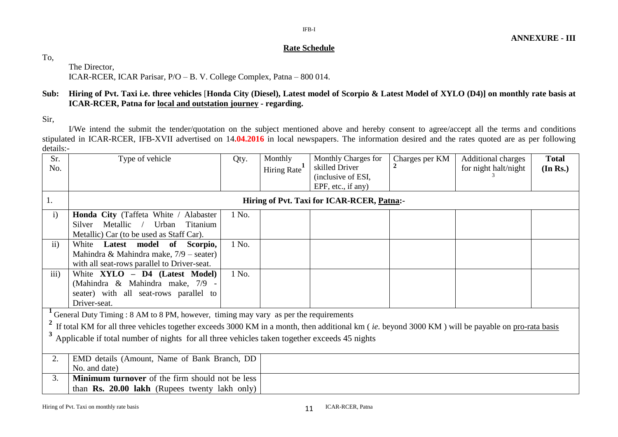# IFB-I

### **Rate Schedule**

To,

The Director, ICAR-RCER, ICAR Parisar, P/O – B. V. College Complex, Patna – 800 014.

# **Sub: Hiring of Pvt. Taxi i.e. three vehicles** [**Honda City (Diesel), Latest model of Scorpio & Latest Model of XYLO (D4)] on monthly rate basis at ICAR-RCER, Patna for local and outstation journey - regarding.**

Sir,

I/We intend the submit the tender/quotation on the subject mentioned above and hereby consent to agree/accept all the terms and conditions stipulated in ICAR-RCER, IFB-XVII advertised on 14**.04.2016** in local newspapers. The information desired and the rates quoted are as per following details:-

| Sr.           | Type of vehicle                                                                                                                                   | Qty.  | Monthly     | Monthly Charges for                        | Charges per KM | <b>Additional charges</b> | <b>Total</b> |
|---------------|---------------------------------------------------------------------------------------------------------------------------------------------------|-------|-------------|--------------------------------------------|----------------|---------------------------|--------------|
| No.           |                                                                                                                                                   |       | Hiring Rate | skilled Driver                             |                | for night halt/night      | (In Rs.)     |
|               |                                                                                                                                                   |       |             | (inclusive of ESI,                         |                |                           |              |
|               |                                                                                                                                                   |       |             | EPF, etc., if any)                         |                |                           |              |
| 1.            |                                                                                                                                                   |       |             | Hiring of Pvt. Taxi for ICAR-RCER, Patna:- |                |                           |              |
| $\mathbf{i}$  | Honda City (Taffeta White / Alabaster                                                                                                             | 1 No. |             |                                            |                |                           |              |
|               | Metallic<br>Titanium<br>Silver<br>Urban                                                                                                           |       |             |                                            |                |                           |              |
|               | Metallic) Car (to be used as Staff Car).                                                                                                          |       |             |                                            |                |                           |              |
| $\mathbf{ii}$ | White Latest model of<br>Scorpio,                                                                                                                 | 1 No. |             |                                            |                |                           |              |
|               | Mahindra & Mahindra make, $7/9$ – seater)                                                                                                         |       |             |                                            |                |                           |              |
|               | with all seat-rows parallel to Driver-seat.                                                                                                       |       |             |                                            |                |                           |              |
| iii)          | White XYLO - D4 (Latest Model)                                                                                                                    | 1 No. |             |                                            |                |                           |              |
|               | (Mahindra & Mahindra make, 7/9 -                                                                                                                  |       |             |                                            |                |                           |              |
|               | seater) with all seat-rows parallel to                                                                                                            |       |             |                                            |                |                           |              |
|               | Driver-seat.                                                                                                                                      |       |             |                                            |                |                           |              |
|               | General Duty Timing: 8 AM to 8 PM, however, timing may vary as per the requirements                                                               |       |             |                                            |                |                           |              |
|               |                                                                                                                                                   |       |             |                                            |                |                           |              |
|               | If total KM for all three vehicles together exceeds 3000 KM in a month, then additional km (ie. beyond 3000 KM) will be payable on pro-rata basis |       |             |                                            |                |                           |              |
|               | Applicable if total number of nights for all three vehicles taken together exceeds 45 nights                                                      |       |             |                                            |                |                           |              |
|               |                                                                                                                                                   |       |             |                                            |                |                           |              |
| 2.            | EMD details (Amount, Name of Bank Branch, DD                                                                                                      |       |             |                                            |                |                           |              |
|               | No. and date)                                                                                                                                     |       |             |                                            |                |                           |              |
| 3.            | Minimum turnover of the firm should not be less                                                                                                   |       |             |                                            |                |                           |              |
|               | than $\mathbf{Rs.}$ 20.00 lakh (Rupees twenty lakh only)                                                                                          |       |             |                                            |                |                           |              |
|               |                                                                                                                                                   |       |             |                                            |                |                           |              |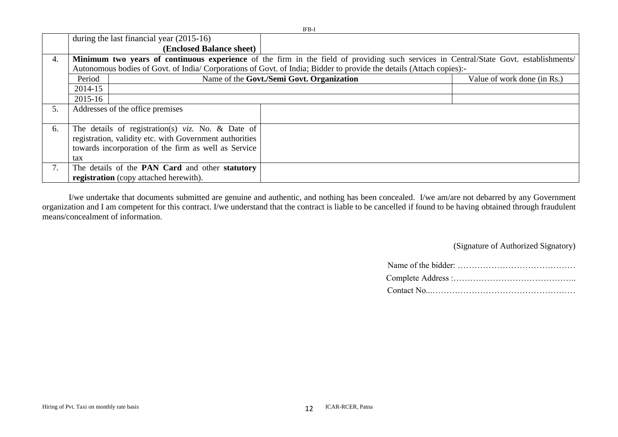|    |         |                                                         | IFB-I                                                                                                                                 |                             |
|----|---------|---------------------------------------------------------|---------------------------------------------------------------------------------------------------------------------------------------|-----------------------------|
|    |         | during the last financial year $(2015-16)$              |                                                                                                                                       |                             |
|    |         | (Enclosed Balance sheet)                                |                                                                                                                                       |                             |
| 4. |         |                                                         | Minimum two years of continuous experience of the firm in the field of providing such services in Central/State Govt. establishments/ |                             |
|    |         |                                                         | Autonomous bodies of Govt. of India/Corporations of Govt. of India; Bidder to provide the details (Attach copies):-                   |                             |
|    | Period  |                                                         | Name of the Govt./Semi Govt. Organization                                                                                             | Value of work done (in Rs.) |
|    | 2014-15 |                                                         |                                                                                                                                       |                             |
|    | 2015-16 |                                                         |                                                                                                                                       |                             |
| 5. |         | Addresses of the office premises                        |                                                                                                                                       |                             |
|    |         |                                                         |                                                                                                                                       |                             |
| 6. |         | The details of registration(s) $viz$ . No. & Date of    |                                                                                                                                       |                             |
|    |         | registration, validity etc. with Government authorities |                                                                                                                                       |                             |
|    |         | towards incorporation of the firm as well as Service    |                                                                                                                                       |                             |
|    | tax     |                                                         |                                                                                                                                       |                             |
| 7. |         | The details of the PAN Card and other statutory         |                                                                                                                                       |                             |
|    |         | registration (copy attached herewith).                  |                                                                                                                                       |                             |

I/we undertake that documents submitted are genuine and authentic, and nothing has been concealed. I/we am/are not debarred by any Government organization and I am competent for this contract. I/we understand that the contract is liable to be cancelled if found to be having obtained through fraudulent means/concealment of information.

(Signature of Authorized Signatory)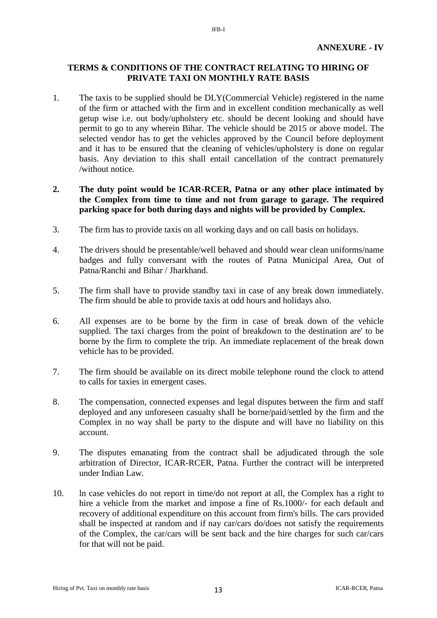# **TERMS & CONDITIONS OF THE CONTRACT RELATING TO HIRING OF PRIVATE TAXI ON MONTHLY RATE BASIS**

IFB-I

1. The taxis to be supplied should be DLY(Commercial Vehicle) registered in the name of the firm or attached with the firm and in excellent condition mechanically as well getup wise i.e. out body/upholstery etc. should be decent looking and should have permit to go to any wherein Bihar. The vehicle should be 2015 or above model. The selected vendor has to get the vehicles approved by the Council before deployment and it has to be ensured that the cleaning of vehicles/upholstery is done on regular basis. Any deviation to this shall entail cancellation of the contract prematurely /without notice.

# **2. The duty point would be ICAR-RCER, Patna or any other place intimated by the Complex from time to time and not from garage to garage. The required parking space for both during days and nights will be provided by Complex.**

- 3. The firm has to provide taxis on all working days and on call basis on holidays.
- 4. The drivers should be presentable/well behaved and should wear clean uniforms/name badges and fully conversant with the routes of Patna Municipal Area, Out of Patna/Ranchi and Bihar / Jharkhand.
- 5. The firm shall have to provide standby taxi in case of any break down immediately. The firm should be able to provide taxis at odd hours and holidays also.
- 6. All expenses are to be borne by the firm in case of break down of the vehicle supplied. The taxi charges from the point of breakdown to the destination are' to be borne by the firm to complete the trip. An immediate replacement of the break down vehicle has to be provided.
- 7. The firm should be available on its direct mobile telephone round the clock to attend to calls for taxies in emergent cases.
- 8. The compensation, connected expenses and legal disputes between the firm and staff deployed and any unforeseen casualty shall be borne/paid/settled by the firm and the Complex in no way shall be party to the dispute and will have no liability on this account.
- 9. The disputes emanating from the contract shall be adjudicated through the sole arbitration of Director, ICAR-RCER, Patna. Further the contract will be interpreted under Indian Law.
- 10. ln case vehicles do not report in time/do not report at all, the Complex has a right to hire a vehicle from the market and impose a fine of Rs.1000/- for each default and recovery of additional expenditure on this account from firm's bills. The cars provided shall be inspected at random and if nay car/cars do/does not satisfy the requirements of the Complex, the car/cars will be sent back and the hire charges for such car/cars for that will not be paid.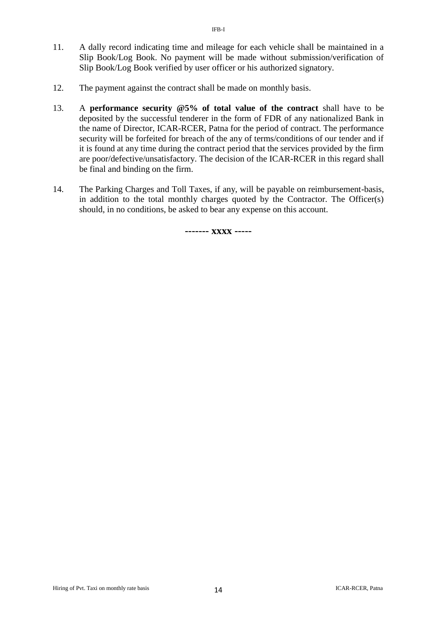- 11. A dally record indicating time and mileage for each vehicle shall be maintained in a Slip Book/Log Book. No payment will be made without submission/verification of Slip Book/Log Book verified by user officer or his authorized signatory.
- 12. The payment against the contract shall be made on monthly basis.
- 13. A **performance security @5% of total value of the contract** shall have to be deposited by the successful tenderer in the form of FDR of any nationalized Bank in the name of Director, ICAR-RCER, Patna for the period of contract. The performance security will be forfeited for breach of the any of terms/conditions of our tender and if it is found at any time during the contract period that the services provided by the firm are poor/defective/unsatisfactory. The decision of the ICAR-RCER in this regard shall be final and binding on the firm.
- 14. The Parking Charges and Toll Taxes, if any, will be payable on reimbursement-basis, in addition to the total monthly charges quoted by the Contractor. The Officer(s) should, in no conditions, be asked to bear any expense on this account.

**------- xxxx -----**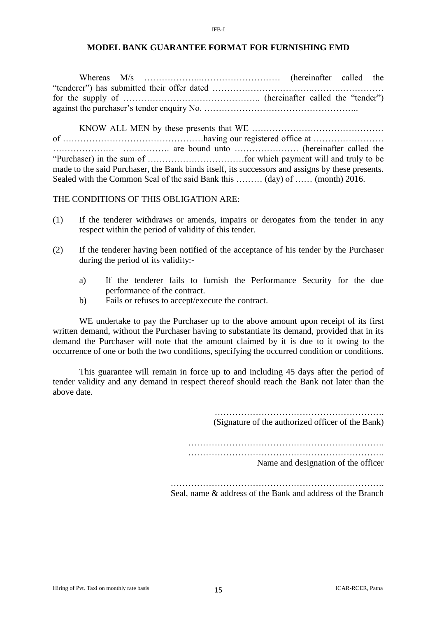### **MODEL BANK GUARANTEE FORMAT FOR FURNISHING EMD**

IFB-I

Whereas M/s ………………..……………………… (hereinafter called the "tenderer") has submitted their offer dated …………………………….……….…………… for the supply of ……………………………………….. (hereinafter called the "tender") against the purchaser's tender enquiry No. ……………………………………………..

KNOW ALL MEN by these presents that WE ……………………………………… of …………………………………………having our registered office at …………………… ………………… ……………. are bound unto …………………. (hereinafter called the "Purchaser) in the sum of ……………………………for which payment will and truly to be made to the said Purchaser, the Bank binds itself, its successors and assigns by these presents. Sealed with the Common Seal of the said Bank this ……… (day) of …… (month) 2016.

THE CONDITIONS OF THIS OBLIGATION ARE:

- (1) If the tenderer withdraws or amends, impairs or derogates from the tender in any respect within the period of validity of this tender.
- (2) If the tenderer having been notified of the acceptance of his tender by the Purchaser during the period of its validity:
	- a) If the tenderer fails to furnish the Performance Security for the due performance of the contract.
	- b) Fails or refuses to accept/execute the contract.

WE undertake to pay the Purchaser up to the above amount upon receipt of its first written demand, without the Purchaser having to substantiate its demand, provided that in its demand the Purchaser will note that the amount claimed by it is due to it owing to the occurrence of one or both the two conditions, specifying the occurred condition or conditions.

This guarantee will remain in force up to and including 45 days after the period of tender validity and any demand in respect thereof should reach the Bank not later than the above date.

(Signature of the authorized officer of the Bank)

…………………………………………………………. ………………………………………………………….

Name and designation of the officer

Seal, name & address of the Bank and address of the Branch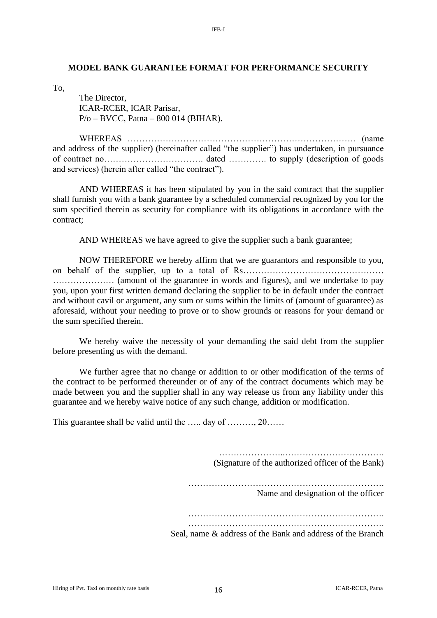### **MODEL BANK GUARANTEE FORMAT FOR PERFORMANCE SECURITY**

To,

The Director, ICAR-RCER, ICAR Parisar, P/o – BVCC, Patna – 800 014 (BIHAR).

WHEREAS …………………………………………………………………… (name and address of the supplier) (hereinafter called "the supplier") has undertaken, in pursuance of contract no……………………………. dated …………. to supply (description of goods and services) (herein after called "the contract").

AND WHEREAS it has been stipulated by you in the said contract that the supplier shall furnish you with a bank guarantee by a scheduled commercial recognized by you for the sum specified therein as security for compliance with its obligations in accordance with the contract;

AND WHEREAS we have agreed to give the supplier such a bank guarantee;

NOW THEREFORE we hereby affirm that we are guarantors and responsible to you, on behalf of the supplier, up to a total of Rs…………………………………………………………………………………………… ………………… (amount of the guarantee in words and figures), and we undertake to pay you, upon your first written demand declaring the supplier to be in default under the contract and without cavil or argument, any sum or sums within the limits of (amount of guarantee) as aforesaid, without your needing to prove or to show grounds or reasons for your demand or the sum specified therein.

We hereby waive the necessity of your demanding the said debt from the supplier before presenting us with the demand.

We further agree that no change or addition to or other modification of the terms of the contract to be performed thereunder or of any of the contract documents which may be made between you and the supplier shall in any way release us from any liability under this guarantee and we hereby waive notice of any such change, addition or modification.

This guarantee shall be valid until the …… day of ………, 20……

……………………………………………………… (Signature of the authorized officer of the Bank)

………………………………………………………….

Name and designation of the officer

…………………………………………………………. ………………………………………………………….

Seal, name & address of the Bank and address of the Branch

IFB-I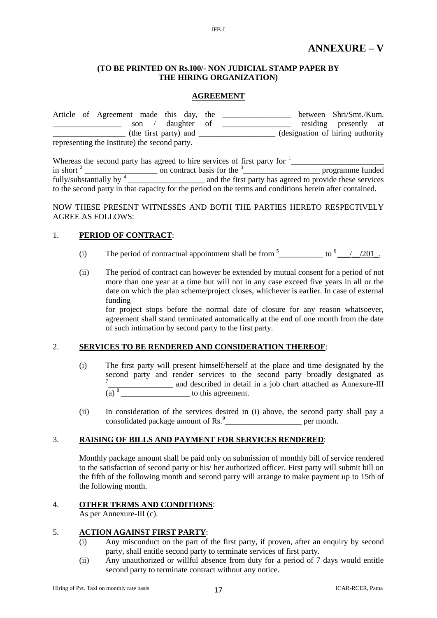### **(TO BE PRINTED ON Rs.I00/- NON JUDICIAL STAMP PAPER BY THE HIRING ORGANIZATION)**

IFB-I

### **AGREEMENT**

|  | Article of Agreement made this day, the       |                       |             |  | between Shri/Smt./Kum.            |  |
|--|-----------------------------------------------|-----------------------|-------------|--|-----------------------------------|--|
|  |                                               | son /                 | daughter of |  | residing presently at             |  |
|  |                                               | (the first party) and |             |  | (designation of hiring authority) |  |
|  | representing the Institute) the second party. |                       |             |  |                                   |  |

|                                   | Whereas the second party has agreed to hire services of first party for <sup>1</sup>                    |                                                          |
|-----------------------------------|---------------------------------------------------------------------------------------------------------|----------------------------------------------------------|
| in short $2$                      | on contract basis for the <sup>3</sup>                                                                  | programme funded                                         |
| fully/substantially by $4\degree$ |                                                                                                         | and the first party has agreed to provide these services |
|                                   | to the second party in that capacity for the period on the terms and conditions herein after contained. |                                                          |

NOW THESE PRESENT WITNESSES AND BOTH THE PARTIES HERETO RESPECTIVELY AGREE AS FOLLOWS:

### 1. **PERIOD OF CONTRACT**:

- (i) The period of contractual appointment shall be from  $5$  \_\_\_\_\_\_\_\_\_\_\_\_ to  $6$  \_\_\_/\_\_\_/201\_.
- (ii) The period of contract can however be extended by mutual consent for a period of not more than one year at a time but will not in any case exceed five years in all or the date on which the plan scheme/project closes, whichever is earlier. In case of external funding

for project stops before the normal date of closure for any reason whatsoever, agreement shall stand terminated automatically at the end of one month from the date of such intimation by second party to the first party.

### 2. **SERVICES TO BE RENDERED AND CONSIDERATION THEREOF**:

- (i) The first party will present himself/herself at the place and time designated by the second party and render services to the second party broadly designated as 7 \_\_\_\_\_\_\_\_\_\_\_\_\_\_\_\_ and described in detail in a job chart attached as Annexure-III  $(a)$ <sup>8</sup> to this agreement.
- (ii) In consideration of the services desired in (i) above, the second party shall pay a consolidated package amount of Rs.<sup>9</sup> per month.

### 3. **RAISING OF BILLS AND PAYMENT FOR SERVICES RENDERED**:

Monthly package amount shall be paid only on submission of monthly bill of service rendered to the satisfaction of second party or his/ her authorized officer. First party will submit bill on the fifth of the following month and second parry will arrange to make payment up to 15th of the following month.

### 4. **OTHER TERMS AND CONDITIONS**:

As per Annexure-III (c).

### 5. **ACTION AGAINST FIRST PARTY**:

- (i) Any misconduct on the part of the first party, if proven, after an enquiry by second party, shall entitle second party to terminate services of first party.
- (ii) Any unauthorized or willful absence from duty for a period of 7 days would entitle second party to terminate contract without any notice.